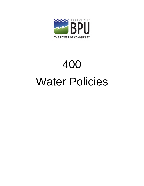

# 400 Water Policies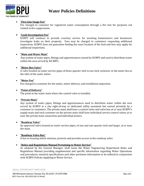

## **Water Policies Definitions**

The following terms shall have the following meaning when used in the Water Policies, unless otherwise stated:

#### **"After Hours Shut off Service for Contractors"**

Fee charged to Contractors for after-hours services provided by KCBPU to temporarily shut off 1- 1/2" and larger services due to construction activities. KCBPU will provide this service as a courtesy during normal working hours.

#### **"After Hours Delinquent Turn-On for Large Customers"**

Fee charged to customers for after-hours services provided by KCBPU to turn on 1-1/2" and larger service for delinquent payment.

#### **"Battery Meter Setting"**

The parallel installation of two or three meters on one service. Battery Meter Settings are no longer installed under current standards.

#### **"Corporation Stop"**

The valve located at the main at the point of connection for water supply service up to and including one inch in diameter.

#### **"Curb Stop"**

A valve located on water service pipes of three-quarter inch to one inch, inclusive, at or near the curb line.

#### **"Curb Stop Box"**

A box or housing which encloses, protects and provides access to the curb stop.

#### **"Demolition/Disconnection (Saw-Off) Inspection Fee"**

Service fee charged to plumbers or customers as required for KCBPU to inspect the physical disconnection (Saw-off) of a service.

**"Development Review Committee (DRC) Service Fee"**

The Unified Government of Wyandotte County/Kansas City, Kansas (UG) has a Development Review Committee (DRC) to review all major development projects. This fee will be incorporated into the UG's fee structure to recover KCBPU personnel costs of providing this review. The UG will then reimburse collected fees to KCBPU.

- **"Engineering Design Services Fee"** Fee charged to Developers for KCBPU Engineering design of proposed residential, commercial or industrial development.
- **"Fire Hydrant Flow Test Service Fee"** Fee charged to Insurance Companies or others as requested for fire hydrant flow testing.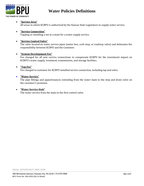

## **Water Policies Definitions**

#### **"Fire Line Usage Fee"**

Fee charged to customer for registered water consumption through a fire line for purposes not related to fire suppression.

#### **"Leak Investigation Fee"**

KCBPU will continue to provide courtesy service for assisting homeowners and businesses investigate leaks on their property. Fees may be charged to customers requesting additional inspections. KCBPU does not guarantee finding the exact location of the leak and fees may apply for additional inspections.

#### **"Main and Water Main"**

Any system of water pipes, fittings and appurtenances owned by KCBPU and used to distribute water within the area served by KCBPU.

#### **"Meter Box Valve"**

A valve located on water service pipes of three-quarter inch to one inch, inclusive, in the meter box at the inlet of the water meter.

#### **"Meter Fee"**

Fee charged to customer for the meter, meter delivery, and installation inspection.

#### **"Point of Delivery"**

The point at the water main where the control valve is installed.

#### **"Private Main"**

Any system of water pipes, fittings and appurtenances used to distribute water within the area served by KCBPU in a city right-of-way or dedicated utility easement but owned privately by a customer or customers. The private main shall have a control valve and valve box at or near KCBPU's supply main and each customer on the private main shall have individual service control valves at or near the private main connection and individual meters.

#### **"Roadway Valve"**

An approved valve located on water service pipes, of one and one-quarter inch and larger, at or near the main.

#### **"Roadway Valve Box"**

A box or housing which encloses, protects and provides access to the roadway valve.

#### **"Rules and Regulations Manual Pertaining to Water Service"**

As adopted by the General Manager, shall mean the Water Engineering Department Rules and Regulations Manual providing supplemental and specific information regarding Water Operations and procedures, material specifications and other pertinent information to be utilized in conjunction with KCBPU Policies Applying to Water Service.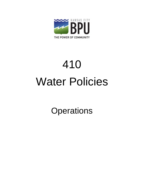

## **Water Policies Definitions**

#### **"Service Area"**

All areas in which KCBPU is authorized by the Kansas State Legislature to supply water service.

#### **"Service Connection"**

Tapping or installing a tee in a main for a water supply service.

#### **"Service Control Valve"**

The valve located on water service pipes (meter box, curb stop, or roadway valve) and delineates the responsibility between KCBPU and the Customer.

#### **"System Development Fee"**

Fee charged for all new service connections to compensate KCBPU for the investment impact on KCBPU's water supply, treatment, transmission, and storage facilities.

#### **"Tap Fee"**

Fee charged to customer for KCBPU installed service connection, including tap and valve.

#### **"Water Service"**

The pipe fittings and appurtenances extending from the water main to the stop and drain valve on the customer's premises.

#### **"Water Service Stub"**

The water service from the main to the first control valve.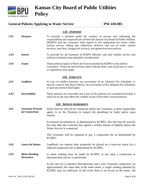

# 410 Water Policies

**Operations**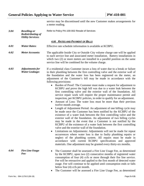

## **Kansas City Board of Public Utilities Policy**

### General Policies Applying to Water Service **PW-410-001**

#### *1.00 OVERVIEW*

- *1.01 Purpose:* To provide a detailed guide for conduct of actions and indicating the responsibility and requirements of both the Kansas City Board of Public Utilities, (KCBPU) and the Customer with regard to the application for water utility system service, billing and collections, delivery and use of water system services, user fees, charges for services, and general service policies.
- *1.02 Intent:* To provide for all Customer of KCBPU efficient, safe and reliable service and uniform consistent and equitable consideration.
- *1.03 Scope:* These policies apply to Water Services furnished by KCBPU to the utility's Customers. Please be advised that other Federal, State, and Local laws or rules or regulations may apply.

#### *2.00 CONFLICTS*

- *2.01 Conflicts:* In case of conflict between any provisions of an Adopted Fee Schedules or special contract and these Policies, the provisions of the Adopted Fee Schedules or special contract shall apply.
- *2.02 Severability:* These policies are severable and if any of the policies are considered invalid, it shall not in any way affect the validity of any of the other several policies.

#### *3.00 SERVICE AGREEMENTS*

*3.01 Customer Present for Connection:* Water Service will not be connected unless the Customer, or their responsible agent, is on the Premises to inspect the plumbing for leaks and/or open faucets.

> In unusual circumstances, as determined by KCBPU, this rule may be waived, but only after the Customer has signed a written release of liability before the Water Service is connected.

> The Customer will be required to pay a connection fee as determined by KCBPU.

- *3.02 Leave-On Status:* Landlords can request their properties be placed on a leave-on status for a reduced connection fee as determined by KCBPU.
- *3.03 Meter Reading Necessary:* A meter reading must be made by KCBPU at any time a connection or disconnection service is performed.

In the case of a Customer disconnection and a new Customer connection, on approximately the same date at the same meter, a single reading obtained by KCBPU may be sufficient. In the event there is no access to the meter, the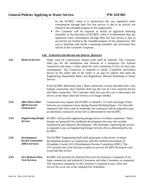service may be discontinued until the new Customer makes arrangements for a meter reading.

| 3.04 | <b>Reselling or</b><br><b>Redistributing of</b><br><b>Utility Services:</b> | Refer to Policy PA-100-002 Resale of Services                                                                                                                                                                                                                                                                                                                                                                                                                                                                                                                                                                                                                                                                                                                                                                                                                                                                                                                                                                                                                                                                                                                                                                                                                                                                                                                                                                                                                                                                                                                                                                                                                                               |  |  |
|------|-----------------------------------------------------------------------------|---------------------------------------------------------------------------------------------------------------------------------------------------------------------------------------------------------------------------------------------------------------------------------------------------------------------------------------------------------------------------------------------------------------------------------------------------------------------------------------------------------------------------------------------------------------------------------------------------------------------------------------------------------------------------------------------------------------------------------------------------------------------------------------------------------------------------------------------------------------------------------------------------------------------------------------------------------------------------------------------------------------------------------------------------------------------------------------------------------------------------------------------------------------------------------------------------------------------------------------------------------------------------------------------------------------------------------------------------------------------------------------------------------------------------------------------------------------------------------------------------------------------------------------------------------------------------------------------------------------------------------------------------------------------------------------------|--|--|
|      |                                                                             | <b>4.00 RATES AND PAYMENT OF BILLS</b>                                                                                                                                                                                                                                                                                                                                                                                                                                                                                                                                                                                                                                                                                                                                                                                                                                                                                                                                                                                                                                                                                                                                                                                                                                                                                                                                                                                                                                                                                                                                                                                                                                                      |  |  |
| 4.01 | <b>Water Rates:</b>                                                         | Effective rate schedule information is available at KCBPU.                                                                                                                                                                                                                                                                                                                                                                                                                                                                                                                                                                                                                                                                                                                                                                                                                                                                                                                                                                                                                                                                                                                                                                                                                                                                                                                                                                                                                                                                                                                                                                                                                                  |  |  |
| 4.02 | <b>Meter Accounts:</b>                                                      | The applicable Inside City or Outside City volume charge rate will be applied<br>to each service line and associated meter installation. Battery installations in<br>which two (2) or more meters are installed in a parallel position on the same<br>service line will be combined for the volume charge.                                                                                                                                                                                                                                                                                                                                                                                                                                                                                                                                                                                                                                                                                                                                                                                                                                                                                                                                                                                                                                                                                                                                                                                                                                                                                                                                                                                  |  |  |
| 4.03 | <b>Adjustments for</b><br><b>Water Leakage:</b>                             | If a residential class Customer incurs a loss of water due to a break or failure<br>in their plumbing between the first controlling valve and the exterior wall of<br>the foundation and the water loss has been registered on the meter, an<br>adjustment of the Customer's bill may be made in accordance with the<br>following provisions:<br>• Burden of Proof: The Customer must make a request for adjustment to<br>KCBPU and prove the high bill was due to a water leak between the<br>first controlling valve and the exterior wall of the foundation. All<br>service repair work will require the proper maintenance permit and<br>inspection, per KCBPU policies, in order to qualify for an adjustment.<br>Amount of Loss: The water loss must be more than their previous<br>$\bullet$<br>twelve month average.<br>Length of Adjustment Period: An adjustment of one billing cycle may<br>$\bullet$<br>be made once the Customer has been notified by the KCBPU of the<br>existence of a water leak between the first controlling valve and the<br>exterior wall of the foundation. An adjustment of two billing cycles<br>may be made in the event that a Customer is not notified by the<br>KCBPU of the existence of a water leak between the first controlling<br>valve and the exterior wall of the foundation.<br>Limitations on Adjustments: Adjustments will not be made for repeat<br>$\bullet$<br>occurrences where water loss is due to faulty plumbing repairs or<br>neglect of the plumbing system. All repairs must be made in<br>accordance with current KCBPU specifications and approved<br>materials. One adjustment may be granted every thirty-six months. |  |  |
| 4.04 | <b>Fire Line Usage</b><br>Fee:                                              | The Customer shall be assessed a Fire Line Usage Fee, as determined<br>٠<br>by the KCBPU, upon two (2) consecutive months of registered water<br>consumption of four (4) ccfs or more through their fire line service.<br>Fee will be retroactive and applied to the first month of detected water<br>usage. Fee will continue to be applied until consumption ends or falls<br>below four (4) ccfs per month.<br>The Customer will be assessed a Fire Line Usage Fee, as determined                                                                                                                                                                                                                                                                                                                                                                                                                                                                                                                                                                                                                                                                                                                                                                                                                                                                                                                                                                                                                                                                                                                                                                                                        |  |  |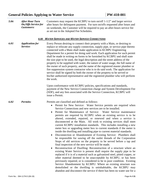by the KCBPU, when it is determined that any registered water consumption through their fire line service is due to an activity not related to the intended purpose of fire suppression.

• The Customer will be required to install an approved metering assembly, at the discretion of KCBPU, when it is determined that any registered water consumption through their fire line service is due to an activity not related to the intended purpose of fire suppression. The cost to purchase and install a metering assembly and associated fees will be at the Customer's expense.

#### *5.00 CONSTRUCTION WATER AND SPECIAL SERVICES*

*5.01 Metered Service:* Water used for construction related work shall be metered. The Customer shall pay for the installation and removal of a temporary fire hydrant connection and meter, a daily rental fee with a minimum of five (5) days plus consumption. The Contractor is required to install a backflow prevention device on the outlet side of the meter or air gap for tankers that meet the Engineering Department Rules and Regulations Manual Pertaining to Water Service.

> If the KCBPU determines that a Main connection is more desirable than a fire hydrant connection, the Customer shall pay the cost of a new metered service and Main connection. The Customer shall also pay the cost to disconnect the service at the Main when the service is no longer needed.

- *5.02 After Hours Shut-Off Service for Contractors:* Contractors may request the KCBPU to shutoff 1-1/2 inch and larger Water Services on a temporary basis during Normal Working Hours. For shut-offs requested after hours and on weekends, the contractor will be required to pay an afterhours contractor service fee as determined by the KCBPU.
- *5.03 Engineering Design Service:* KCBPU will provide engineering design service for Main extensions. These designs are primarily for residential development but may also include commercial and industrial development. The developer requesting the service is required to pay an Engineering Design Services Fee as determined by the KCBPU.
- *5.04 Development Review Committee (DRC) Services:* The KCBPU Engineering Staff shall participate in the review of major development projects in conjunction with the Unified Government of Wyandotte County (UG) Development Review Committee (DRC). The UG currently has a fee structure in place to recover KCBPU Personnel costs to provide this review.
- *5.05 Fire Hydrant Flow Test Services:* KCBPU will provide fire hydrant flow tests for insurance companies of its large commercial and industrial Customers and other Customers as requested. The insurance companies or the Customer is required to pay a flow test service fee as set out in the Adopted Fee Schedules.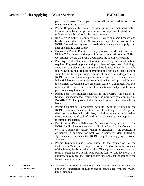| 5.06 | <b>After Hour Turn</b><br><b>On/Offs Service for</b><br><b>Customers:</b> | Customers may request the KCBPU to turn on/off $1-1/2$ " and larger service<br>after hours for delinquent payment. For turn on/offs requested after hours and<br>on weekends, the Customer will be required to pay an after-hours service fee<br>as set out in the Adopted Fee Schedules.                                                                                                                                                                                                                                                                                                                                                                                                                                                                                                                                                                                                                                                                                                                                                                                                                                                                                                                                                                                                                                                                                                                                                                                                                                                                                                           |  |  |  |
|------|---------------------------------------------------------------------------|-----------------------------------------------------------------------------------------------------------------------------------------------------------------------------------------------------------------------------------------------------------------------------------------------------------------------------------------------------------------------------------------------------------------------------------------------------------------------------------------------------------------------------------------------------------------------------------------------------------------------------------------------------------------------------------------------------------------------------------------------------------------------------------------------------------------------------------------------------------------------------------------------------------------------------------------------------------------------------------------------------------------------------------------------------------------------------------------------------------------------------------------------------------------------------------------------------------------------------------------------------------------------------------------------------------------------------------------------------------------------------------------------------------------------------------------------------------------------------------------------------------------------------------------------------------------------------------------------------|--|--|--|
|      | 6.00                                                                      | <b>WATER SERVICES AND WATER SERVICE CONNECTIONS</b>                                                                                                                                                                                                                                                                                                                                                                                                                                                                                                                                                                                                                                                                                                                                                                                                                                                                                                                                                                                                                                                                                                                                                                                                                                                                                                                                                                                                                                                                                                                                                 |  |  |  |
| 6.01 | <b>Application for</b><br>Service:                                        | Every Person desiring to connect their property with a Main, or desiring to<br>replace or relocate any supply connection, supply pipe, or service pipe thereto<br>connected with a Main shall make application to KCBPU Engineering<br>Department for a permit for doing said work. Each application for such permit<br>shall be made in writing on forms to be furnished by KCBPU and shall state<br>the size pipe to be used, the legal description and the street address of the<br>property to be supplied with water, the nature of water usage, the full name of<br>the owner of such property, and the name of the registered master plumber or<br>fire suppression system contractor who is to do said work. The application for<br>service shall be signed by both the owner of the property to be served or<br>his/her authorized representative and the registered plumber who will perform<br>the work.                                                                                                                                                                                                                                                                                                                                                                                                                                                                                                                                                                                                                                                                                 |  |  |  |
|      |                                                                           | Upon conformance with KCBPU policies, specifications and standards,<br>payment of the New Service Connection charge and System Development Fee<br>(SDF), and any fees associated with the Service Connection, KCBPU will<br>issue a Permit.                                                                                                                                                                                                                                                                                                                                                                                                                                                                                                                                                                                                                                                                                                                                                                                                                                                                                                                                                                                                                                                                                                                                                                                                                                                                                                                                                         |  |  |  |
| 6.02 | <b>Permits:</b>                                                           | Permits are classified and defined as follows:<br>Permit for New Service: Water Service permits are required when<br>$\bullet$<br>Service Connections and new services are to be installed.<br>Permit for Maintenance of Service: Water Service maintenance<br>$\bullet$<br>permits are required by KCBPU when an existing service is to be<br>altered, extended, repaired, or renewed and when a service is<br>disconnected at the Main. All work to existing services shall meet<br>current KCBPU installation standards. This includes installing a new<br>meter box or upgrading meter box to current standards if the meter is<br>inside the dwelling and installing pipe to current material standards.<br>Disconnection or Abandonment of Existing Service: Plumbers shall<br>$\bullet$<br>be responsible for sawing off the outlet threads of the Corporation<br>Stops of old services on the property to be served before a tap and<br>final inspection of the new service will be made.<br>Reconstruction of Dwelling: Reconstruction of a structure where an<br>$\bullet$<br>existing Water Service is present shall require the supply pipe to be<br>replaced if it is of a material such as galvanized steel, pitted copper, or<br>other material deemed to be unacceptable by KCBPU, or has been<br>previously repaired, or is considered to be in poor condition. Existing<br>Service Abandonment by KCBPU: Where an existing structure was<br>demolished or the dwelling is uninhabitable, the KCBPU may<br>abandon and disconnect the service if there has been no water use for a |  |  |  |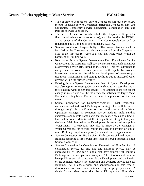period of 2 years. The property owner will be responsible for future replacement of said service.

- Permit Responsibility: Water Service permits are not transferable. Licensed plumbers that procure permits for any unauthorized Person or Persons may be refused subsequent permits.
- Registered Plumber to Complete Work: Only plumbers licensed and bonded with the Unified Government may obtain permits from KCBPU to perform any work in establishing a new water supply or to alter an existing water supply.
- Excavation Permit Required: If any proposed work is in the UG's Right of Way, an excavation permit must be obtained from the Unified Government before the KCBPU will issue the appropriate permit.
- Plan Approval: Plumbers, Developer and Engineer must submit required Engineering plans and plat plans of apartment Buildings, apartment complexes and commercial Buildings. Plans for a single family dwelling shall require submission of a plot plan. Plans must be submitted to the Engineering Department for review and approval by KCBPU prior to obtaining a permit for construction. Commercial and Industrial Projects require plan submittal review and approval through the Unified Government Development Review Committee. Projects outside of the Unified Government jurisdiction are subject to the same plan review requirements.
- Permit Fee: The plumber shall pay to the KCBPU, the cost of all Service Connection fees required for the new service as outlined in PW-410-002. The payment shall be made prior to the permit being issued.
- Permit Completion: Completed permit(s) must be returned to the KCBPU field representative at the time of final inspection. The permit shall be complete with all data, including material information, measurements and sketch of work prior to receiving final approval at the time of inspection.
- Permit Denial Due to Delinquent Payments or Policy Violation: The KCBPU will refuse to accept an application for a Service Connection or issue a permit for service repairs or alterations if the applicant is delinquent in payment for past Water Services, Main Extension Agreements, or violates the KCBPU's policies applying to Water Service.
- Permit Expiration and Cancellation: If the connection to the Distribution Main is not completed within 120 days from the issuance of the Permit, the Permit shall expire. The applicant may re-apply and receive credit for previously paid permit fees for this location. The applicant may cancel the Permit at any time and shall be refunded the fees and costs for new service.
- Service Connections Regulations: All Service Connections shall be under the jurisdiction of KCBPU and in compliance with the KCBPU Policies Manual.

*Connections:*

*6.03 Service*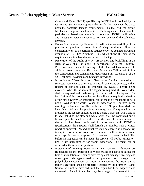- Type of Service Connection: Service Connections approved by KCBPU include Domestic Service Connection, Irrigation Connection, Fire Line Connection, Temporary Service Connection, Combination Fire and Domestic Service Connection.
- The Service Connection, which includes the Corporation Stop or the first control valve, (for larger services), shall be installed by KCBPU at the expense of the Customer. The Customer/plumber will be required to pay a Tap Fee as determined by KCBPU.
- Service Installation Responsibility: The Water Service shall be installed by the Customer at their own expense from the Corporation Stop or the first control valve to a stop and waste valve within the basement or Building wall.
- New Water Service System Development Fee: For all new Service Connections, the Customer shall pay a water System Development Fee as determined by KCBPU based on meter size. This fee is designed to compensate the Water Service provider for the applicable costs of investment required for the additional development of water supply, treatment, transmission, and storage facilities due to increased water demand within the service territory.
- Existing Service System Development Fee: A System Development Fee also applies to existing Customers wishing to increase the size of their existing water meter and service. The amount of the fee for the change in meter size shall be the difference between the larger Meter Fee and existing Meter Fee at the time of application for the new meter.
- Service Connection for Domestic/Irrigation: Each residential, commercial and industrial Building on a single lot shall be served through one (1) Service Connection. At the discretion of the Water Operations Manager, an exception may be made for multi-Building apartments and mobile home parks that are platted on a single tract of land and the Water Main is installed in a public street right of way and the Water Main internal to the Development is designated as a public Water Main. An exception may also be made by the Manager of Water Operations for special institutions such as hospitals or similar multi-Building complexes requiring redundant water supply service.
- Service Connection for Fire Service: Each commercial and industrial Building requiring a fire service line shall be served through a single Service Connection.
- Service Connection for Combination Domestic and Fire Service: A combination service for fire line and domestic service may be approved by KCBPU for a single plat development with multiple Buildings such as an apartment complex. The Development does not have public street right of way inside the Development and the interior of the complex requires fire protection and domestic service for each Building. All Mains, services and appurtenances in this type of development are owned and maintained by the property owner. A single Master Meter type shall be a UL approved Fire Meter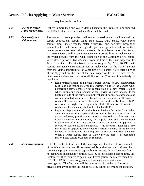Compound Type (FMCT) specified by KCBPU and provided by the Customer. System Development charges for this meter will be based upon the domestic demand requirements. To that end, the project Mechanical Engineer shall submit the Building code calculations for peak demand based upon the unit fixture count. KCBPU will review and select the meter size required to meet or exceed the calculated demand.

- Excavation Required by Plumber: It shall be the responsibility of the plumber to provide an excavation of adequate size to allow the connection work to be performed satisfactorily. A detailed drawing is available at KCBPU's Plumbing Desk, which shows the size of the required excavation based upon the size of the tap.
- Restoration of the Right of Way: Excavation and backfilling in the Right-of-Way shall be done in accordance with the Technical Provisions and Standard Drawings of the Unified Government. In addition, projects involving Horizontal Directional Drilling will follow the construction and containment requirements in Appendix B of the UG Technical Provisions and Standard Drawings.
- Inspection of Water Services: New Water Services, extension of services, maintenance of Private Mains, disconnected services, and all repairs of services, shall be inspected by KCBPU before being covered. When the services of a tapper are required, the Water Main shall be exposed and made ready for the arrival of the tapper. The installation of the service in the trench shall not be required at the time of the tap; however, an inspection can be made by the tapper if he is not delayed in their work. When an inspection is requested in the morning, notice shall be filed with the KCBPU plumbing desk not later than 4:00 pm the previous workday, and if requested in the afternoon, the request should be made before 10:00 am. All work up to and including the stop and waste valve shall be completed and a licensed plumber shall be on the job at the time of the inspection. If the work has been performed in accordance with KCBPU's specifications, the inspector shall furnish the plumber with a written report of approval. An additional fee may be charged if a second trip is required for a tap or inspection. Plumbers shall not turn the water on except for testing purposes. If a service is covered or backfilled before an inspection can be made, the service will not be "turned on" until it has been exposed for proper inspection. The meter can be installed at the time of inspection.
- Protection of Existing Water Mains and Services: Plumbers are responsible for the protection of Water Mains and services during the time of installation or repair of services against breakage, freezing and other types of damages caused by said plumber. Any damage to the polyethylene encasement or tracer wire covering the Main during trench excavation shall be properly repaired by the plumber. Water Service will not be provided until the repair has been inspected and approved. An additional fee may be charged if a second trip is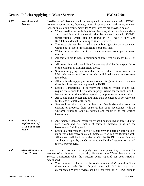required for inspection.

- *6.04 Choice of Water Mains for Services:* If there is more than one Water Main adjacent to the Premises to be supplied, the KCBPU shall determine which Main shall be used.
- *6.05 Ownership and Maintenance* The owner of each premise shall retain ownership and shall maintain all supply connections, supply pipes, stop boxes, Curb Stops, valve boxes, service pipes, meter vaults, meter Structures, and backflow prevention assemblies for such Premises in good repair and operable condition at their own expense unless noted otherwise herein. Permits issued on or after August 22, 2019, KCBPU will assume maintenance responsibilities or replacement of the Water Service from the Main connection to the Customer's first control valve after a period of two (2) years from the time of the final inspection for ¾" -1" services. Permits issued prior to August 22, 2019, KCBPU will assume maintenance responsibilities or replacement of the Water Service from the Main connection to the Customer's first control valve after a period of one (1) year from the time of the final inspection for ¾" -1" services. All other service sizes are the responsibility of the Customer immediately on installation.
	- Replacement/Repair of Existing Service during KCBPU construction: KCBPU is not responsible for the Customer side of the service when performing service transfer for construction of a new Water Main or when completing maintenance of the service as noted above. If the Customer side of the service cannot withstand routine maintenance and work associated with service transfers, the Customer shall repair or replace the service between the meter box and the dwelling. KCBPU reserves the right to temporarily shut off service if repair or replacement is not completed as directed by KCBPU.
	- Repair or Replacement of Service Due to Leak on Customer Side: When a supply pipe needing repair is determined to be of a material such as galvanized steel, pitted copper or other material that does not meet KCBPU's current specifications, the supply pipe shall be replaced. Replacement of an existing service requires the owner to upgrade the service to current KCBPU standards. This includes installing a new meter box or upgrading meter box to current standards if the meter is inside the dwelling and installing pipe to current material standards. When a water supply pipe or Water Service pipe is of acceptable material and condition, it may be repaired.
- *6.06 Leak Investigation:* KCBPU assists Customers with the investigation of water leaks on their side of the Water Service line. If the water leak is on the Customer's side of the service, the property owner is responsible for repairs. If the Customer does not repair and subsequently notifies KCBPU to investigate a second time, the Customer will be required to pay a Leak Investigation Fee as determined by KCBPU. KCBPU does not guarantee locating a water leak upon investigation. The Customer will be required to obtain the services of a private company to locate the leak if KCBPU cannot determine the location.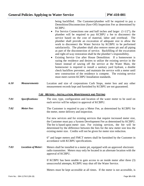## General Policies Applying to Water Service **PW-410-001**

| 6.07 | <b>Installation of</b><br>Service:                                          | Installation of Service shall be completed in accordance with KCBPU<br>Policies, specifications, drawings, letter of requirements and Policy Manual.<br>General installation requirements for Water Services are provided below.<br>When installing or replacing Water Services, all installation standards<br>$\bullet$<br>and materials used in the service shall be in accordance with KCBPU<br>specifications, which can be found in KCBPU's "Rules and<br>Regulations Manual Pertaining to Water Service".<br>The meter pit must be located in the public right-of-way or easement<br>$\bullet$<br>within one (1) foot of the applicant's property line.<br>Water Services shall be in a trench separate from gas or sewer<br>$\bullet$<br>trenches.<br>All services are to have a minimum of three feet six inches $(3'6'')$ of<br>cover.<br>All excavating and back filling for services shall be the responsibility<br>$\bullet$<br>of the plumber on original installations.<br>Services supplying duplexes shall be individual connections at the<br>$\bullet$<br>Main with separate 3/4" services with individual meters in a separate<br>meter box.<br>All tees, bends, tapping sleeves and other fittings must have a concrete<br>$\bullet$<br>thrust blocks or restraint approved by KCBPU.<br>Service Connections to polyethylene encased Water Mains will<br>٠<br>require the service to be encased in polyethylene for the first three (3)<br>feet on the outlet side of the corporation, tapping valve or gate valve.<br>All ductile iron services and fire lines shall be encased in polyethylene<br>٠<br>for the entire length of the pipe.<br>Service lines shall be laid at least ten feet horizontally from any<br>$\bullet$<br>existing or proposed drain or sewer line or in accordance with the<br>Uniform Plumbing Code as adopted and modified by the Unified<br>Government. |
|------|-----------------------------------------------------------------------------|----------------------------------------------------------------------------------------------------------------------------------------------------------------------------------------------------------------------------------------------------------------------------------------------------------------------------------------------------------------------------------------------------------------------------------------------------------------------------------------------------------------------------------------------------------------------------------------------------------------------------------------------------------------------------------------------------------------------------------------------------------------------------------------------------------------------------------------------------------------------------------------------------------------------------------------------------------------------------------------------------------------------------------------------------------------------------------------------------------------------------------------------------------------------------------------------------------------------------------------------------------------------------------------------------------------------------------------------------------------------------------------------------------------------------------------------------------------------------------------------------------------------------------------------------------------------------------------------------------------------------------------------------------------------------------------------------------------------------------------------------------------------------------------------------------------------------------------------------------------------------------------------------------|
| 6.08 | <b>Installation</b> /<br>Replacement of<br>"Stop and Waste"<br><b>Valve</b> | An Operable Stop and Waste Valve shall be installed on three-quarter<br>$\bullet$<br>inch $(3/4)$ and one inch $(1)$ services immediately within the<br>basement or Building wall.<br>Services larger than one inch (1") shall have an operable gate valve or<br>$\bullet$<br>an operable ball valve installed immediately within the Building wall.<br>All valves shall be in accordance with the KCBPU's specifications<br>and kept in repair by the Customer to enable the Customer to shut off<br>the water for repairs.                                                                                                                                                                                                                                                                                                                                                                                                                                                                                                                                                                                                                                                                                                                                                                                                                                                                                                                                                                                                                                                                                                                                                                                                                                                                                                                                                                             |
| 6.09 | Discontinuance of<br><b>Water Service</b>                                   | It shall be the Customer or property owner's responsibility to obtain the<br>services of a plumber to physically disconnect the Water Service at the<br>Service Connection when the structure being supplied has been razed or<br>demolished.<br>The plumber shall saw off the outlet threads of Corporation Stops<br>$\bullet$<br>three-quarter inch $(3/4)$ through one inch $(1)$ in size.<br>All<br>disconnected Water Services shall be inspected by KCBPU, prior to                                                                                                                                                                                                                                                                                                                                                                                                                                                                                                                                                                                                                                                                                                                                                                                                                                                                                                                                                                                                                                                                                                                                                                                                                                                                                                                                                                                                                                |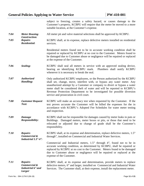being backfilled. The Customer/plumber will be required to pay a Demolition/Disconnection (Saw-Off) Inspection Fee as determined by KCBPU.

- For Service Connections one and half inches and larger  $(1-1/2)$ , the plumber will be required to pay KCBPU a fee to disconnect the service based on the cost of material, labor and overhead. The plumber shall provide an excavation of adequate size to allow the work to disconnect the Water Service by KCBPU to be performed satisfactorily. The plumber shall also remove meter pit and all piping as part of the disconnection of service. Backfilling of the excavation and right-of-way restoration shall be the plumber's responsibility.
- Existing Service Use after House Demolition: If a homeowner is razing the residence and desires to utilize the existing service in the future instead of sawing off the service at the Water Main, the homeowner is required to install a sanitary yard hydrant, a double check backflow preventer, and maintain the service with a meter until new construction of the residence is compete. The existing service must meet current KCBPU Installation standards.
- *6.10 Measurements* Location and size of corporations Curb Stops, meter box and any other measurement records kept and furnished by KCBPU are not guaranteed.

#### *7.00 METERS – INSTALLATION, MAINTENANCE AND TESTING*

*7.01 Specifications:* The size, type, configuration and location of the water meter to be used on each service will be subject to approval of KCBPU. *7.02 Meter Fee:* The Customer is required to pay a Meter Fee, as determined by KCBPU for the meter, meter delivery and inspection. For new services and for existing services that require increased meter size, the Customer must pay a System Development Fee as determined by KCBPU. The fee is based upon meter size. For existing services, the fee will be determined by the difference between the fees for the new meter size less the existing meter size. Credits will not be given for meter size reduction. 6" and larger meters and FMCT meters shall be furnished by the Customer in accordance with KCBPU specifications. *7.03 Location of Meter:* Meters shall be installed in a meter pit, equipped with an approved electronic radio transmitter. Meters may only be located in an alternate location with the approval of KCBPU. If KCBPU has been unable to gain access to an inside meter after three (3) unsuccessful attempts, KCBPU may shut off the Water Service. Meters must be kept accessible at all times. If the meter is not accessible, is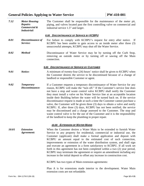#### **General Policies Applying to Water Service PW-410-001**

subject to freezing, creates a safety hazard, or causes damage to the Customer's property, KCBPU will require that the meter be moved to a more suitable location, at the Customer's expense.

- *7.04 Meter Housing Construction:* All meter pit and valve material selections shall be approved by KCBPU.
- *7.05 Repairs Residential:* KCBPU shall, at its expense, replace defective meters installed on residential services.

Residential meters found not to be in accurate working condition shall be repaired or replaced by KCBPU at no cost to the Customer. Meters found to be damaged due to Customer abuse or negligence will be repaired or replaced at the expense of the Customer.

- *7.06* **Sealing: KCBPU** shall seal all meters in service with an approved sealing device, bearing an identifying KCBPU mark. Plumbers shall notify KCBPU whenever it is necessary to break the seal.
- *7.07 Authorized Handling:* Only authorized KCBPU employees, or the Person authorized by the KCBPU shall set, change, move, interfere with, or bypass any water meter. Any unauthorized attempt by a Customer or company to divert or bypass a water meter shall be considered theft of water and will be reported to KCBPU's Revenue Protection Department to be investigated for possible diversion service and prosecution in civil court.
- *7.08 Customer Request Test:* KCBPU will make an accuracy test when requested by the Customer. If the test proves accurate the Customer will be billed the expenses for the in accordance with KCBPU's Adopted Fee Schedules for water meter testing and inspection.
- *7.09 Damage Responsibility:* KCBPU shall not be responsible for damages caused by meter leaks in puts or Buildings. Damaged meters, meter boxes or pits, or those that need to be relocated or adjusted due to change of grade shall be the Customer's responsibility.
- *7.10 Repairs Commercial & Industrial 1.5"-4":* KCBPU shall, at its expense and determination, replace defective meters, 1.5" through", installed on Commercial and Industrial Water Services.

Commercial and Industrial meters, 1.5" through 4", found not to be in accurate working condition, as determined by KCBPU, shall be repaired or replaced by KCBPU at no cost to the Customer. Meters found to be damaged due to Customer abuse or negligence will be repaired or replaced at the expense of the Customer.

*7.11 Repairs Commercial & Industrial 6" and Larger* KCBPU shall, at its expense and determination, provide meters to replace defective meters, 6" and larger, installed on Commercial and Industrial Water Services. The Customer shall, at their expense, install the replacement meter.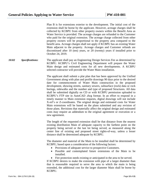## General Policies Applying to Water Service **PW-410-001**

| 7.12  | <b>Meter Housing</b><br><b>Repairs</b><br>Commercial &<br><b>Industrial:</b> | The Customer shall be responsible for the maintenance of the meter pit,<br>piping, and valves located past the first controlling valve on commercial and<br>industrial service 1.5" and larger.                                                                                                                                                                                                                                                                                                                                                                                                                                                                                                                                                                                                                                                                              |  |  |
|-------|------------------------------------------------------------------------------|------------------------------------------------------------------------------------------------------------------------------------------------------------------------------------------------------------------------------------------------------------------------------------------------------------------------------------------------------------------------------------------------------------------------------------------------------------------------------------------------------------------------------------------------------------------------------------------------------------------------------------------------------------------------------------------------------------------------------------------------------------------------------------------------------------------------------------------------------------------------------|--|--|
|       |                                                                              | 8.00 DISCONTINUANCE OF SERVICE BY KCBPU                                                                                                                                                                                                                                                                                                                                                                                                                                                                                                                                                                                                                                                                                                                                                                                                                                      |  |  |
| 8.01  | <b>Discontinuance of</b><br>Service:                                         | For failure to comply with KCBPU's request for entry after notice.<br>- If<br>KCBPU has been unable to gain access to an inside meter after three (3)<br>unsuccessful attempts, KCBPU may shut off the Water Service.                                                                                                                                                                                                                                                                                                                                                                                                                                                                                                                                                                                                                                                        |  |  |
| 8.02  | <b>Method</b>                                                                | Discontinuance of Water Service may be by turning off the Curb Stop,<br>removing an outside meter or by turning off or sawing off the Main<br>connection.                                                                                                                                                                                                                                                                                                                                                                                                                                                                                                                                                                                                                                                                                                                    |  |  |
|       |                                                                              | 9.00 DISCONTINUANCE OF SERVICE BY CUSTOMER                                                                                                                                                                                                                                                                                                                                                                                                                                                                                                                                                                                                                                                                                                                                                                                                                                   |  |  |
| 9.01  | Notice:                                                                      | A minimum of twenty-four (24) hours' notice shall be given to KCBPU when<br>the Customer desires the service to be discontinued because of a change of<br>landlord or responsible Customer or agent.                                                                                                                                                                                                                                                                                                                                                                                                                                                                                                                                                                                                                                                                         |  |  |
| 9.02  | <b>Temporary</b><br>Discontinuance:                                          | If a Customer requests a temporary discontinuance of Water Service for any<br>reason, KCBPU will make the "turn off." If the Customer's service line does<br>not have a stop and waste control valve KCBPU shall notify the Customer<br>they must install a valve on his Water Service line at an acceptable location<br>inside their Building before the water will be turned back on. If the service<br>discontinuance request is made at such a time the Customer cannot purchase a<br>valve, the Customer will be given three (3) days to obtain a valve and notify<br>KCBPU. If, after three (3) days, KCBPU has not been notified, the service<br>may be discontinued and a charge assessed to the Customer. The stop and<br>waste control valve is for the use of the Customer and it is the responsibility<br>of the landlord to keep the plumbing in proper repair. |  |  |
|       |                                                                              | 10.00 EXTENSION OF WATER MAINS                                                                                                                                                                                                                                                                                                                                                                                                                                                                                                                                                                                                                                                                                                                                                                                                                                               |  |  |
| 10.01 | <b>Extension</b><br>Agreement:                                               | When the Customer desires a Water Main to be extended to furnish Water<br>Service to any property for residential, commercial or industrial use, the<br>Customer (applicant) shall make a formal application and deposit with<br>KCBPU an amount equal to the estimated cost of such connection,<br>improvements or extension of the water distribution system, and shall sign<br>and execute an agreement in a form satisfactory to KCBPU. If all work set<br>forth in this agreement has not been completed within a two (2) year period,<br>KCBPU may terminate the agreement or require an amendment including any<br>increase in the initial deposit to offset any increase in construction cost.                                                                                                                                                                       |  |  |
|       |                                                                              | KCBPU has two types of Main extension agreements:                                                                                                                                                                                                                                                                                                                                                                                                                                                                                                                                                                                                                                                                                                                                                                                                                            |  |  |
|       |                                                                              | Plan A is for extensions made interior to the development. Water Main<br>extension costs are not refundable.                                                                                                                                                                                                                                                                                                                                                                                                                                                                                                                                                                                                                                                                                                                                                                 |  |  |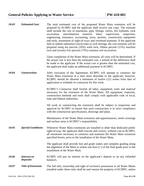Plan B is for extensions exterior to the development. The initial cost of the extension shall be borne by the applicant. However, acreage charges shall be collected by KCBPU from other property owners within the Benefit Area as Water Service is provided. The acreage charges are refunded to the Customer who paid for the original extension. The acreage charge collected from other property owners will be proportional to the property area compared to the benefit area. Acreage charges shall not apply if KCBPU has an existing Water Main adjacent to the property. Acreage charges and Customer refunds are discontinued after 10 (ten) years, or 20 (twenty) years if installed prior to October 24, 2019.

*10.02 Specifications:* The applicant shall pay an Engineering Design Services Fee as determined by KCBPU. KCBPU's Civil Engineering Department will prepare the Water Main design and estimated costs for all new developments. A KCBPU selected contractor will provide the Water Main installation.

> The applicant shall submit a plat plan that has been approved by the Unified Government along with plan and profile drawings 90 days prior to the desired date for commencement of Water Main construction in the proposed development, showing streets, sanitary sewers, subsurface (rock) data or rock borings, sidewalks and the number and type of proposed Structures. All data shall be submitted digitally on CD or with KCBPU permission uploaded to KCBPU's FTP site in AutoCAD .dwg format. In an effort to respond in a timely manner to Main extension requests, digital drawings will not include X-ref's or Z-coordinates. The original design and estimated costs for Water Main extensions will be based on the plans submitted and any revision of those plans. Revisions that materially affect the original design and estimated costs may require an addendum to the original agreement or execution or a new agreement.

> The length of the requested extension shall be that distance from the nearest existing distribution Main of adequate capacity to the farthest point on the property being served or the last lot being served, as measured along the center line of existing and proposed street rights-of-way, unless a lesser distance shall be determined adequate by KCBPU.

> The diameter and material of the Main to be installed shall be determined by KCBPU, based upon a consideration of the following factors:

- Provisions of adequate service to prospective Customers.
- Possible and contemplated future extensions of the Main to be installed.
- Fire protection needs existing or anticipated in the area to be served.

If KCBPU desires to make the extension with pipe of a larger diameter than that is reasonable required to serve the area to which the main is being extended, the additional cost for the larger diameter Main shall be borne by KCBPU.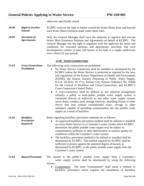| 10.03 | <b>Estimated Cost:</b>          | The total estimated cost of the proposed Water Main extension will be<br>prepared by KCBPU and the applicant shall receive one copy. The estimate<br>shall include the cost of easements, pipe, fittings, valves, fire hydrants, rock<br>material,<br>miscellaneous<br>labor,<br>supervision,<br>excavation,<br>inspection,<br>engineering, insurance, accounting, taxes, permits, construction equipment<br>and tools, restoration of right-of-ways and overhead expenses. If the applicant<br>fails to submit subsurface (rock) data or rock borings, the cost estimate will be<br>prepared using ten percent $(10\%)$ solid rock, fifteen percent $(15\%)$ machine<br>rock and seventy-five percent (75%) common soil excavation. |
|-------|---------------------------------|--------------------------------------------------------------------------------------------------------------------------------------------------------------------------------------------------------------------------------------------------------------------------------------------------------------------------------------------------------------------------------------------------------------------------------------------------------------------------------------------------------------------------------------------------------------------------------------------------------------------------------------------------------------------------------------------------------------------------------------|
|       |                                 | Upon completion of the Water Main extension, all costs will be determined. If<br>the actual cost is less than the estimated cost, a refund of the difference shall<br>be made to the applicant. If the actual cost is greater than the estimated cost,<br>the applicant shall make an additional payment to KCBPU.                                                                                                                                                                                                                                                                                                                                                                                                                   |
| 10.04 | <b>Construction:</b>            | After execution of the Agreement, KCBPU will attempt to construct the<br>Water Main extension at a time more desirable to the applicant; however,<br>KCBPU should be allowed a minimum of twelve (12) weeks from date of<br>application to schedule its contractor for this work.                                                                                                                                                                                                                                                                                                                                                                                                                                                    |
|       |                                 | KCBPU's Contractor shall furnish all labor, equipment, tools and material<br>necessary for the extension of the Water Main. All equipment, materials,<br>construction methods and tools shall comply with applicable code of local,<br>state and federal authorities.                                                                                                                                                                                                                                                                                                                                                                                                                                                                |
|       |                                 | All work in constructing the extension shall be subject to inspection and<br>approval by KCBPU to ensure that such construction is in strict compliance<br>with the construction specifications, drawings and plans.                                                                                                                                                                                                                                                                                                                                                                                                                                                                                                                 |
|       |                                 | Maintenance of the Water Main extension and appurtenances, street crossings<br>and surface areas is KCBPU's responsibility.                                                                                                                                                                                                                                                                                                                                                                                                                                                                                                                                                                                                          |
| 10.05 | <b>Special Conditions:</b>      | Whenever Water Main extensions are installed in other than dedicated public<br>right-of-way, the applicant shall execute and convey, without cost to KCBPU,<br>all easements necessary to construct and maintain the Water Main extension<br>specified herein, prior to the installation of the Water Main.                                                                                                                                                                                                                                                                                                                                                                                                                          |
|       |                                 | The applicant shall provide line and grade stakes and complete grading along<br>the alignment of the Main to within one-foot $(1')$ of the final grade prior to the<br>installation of the Water Main.                                                                                                                                                                                                                                                                                                                                                                                                                                                                                                                               |
| 10.06 | <b>Interest on</b><br>Deposits: | KCBPU will pay no interest on the applicant's deposit or on any refunded<br>balances.                                                                                                                                                                                                                                                                                                                                                                                                                                                                                                                                                                                                                                                |
| 10.07 | <b>Title of Extension:</b>      | The full title, ownership and right of exclusive possession to all Water Mains<br>installed under these rules shall be and remain the property of KCBPU, unless                                                                                                                                                                                                                                                                                                                                                                                                                                                                                                                                                                      |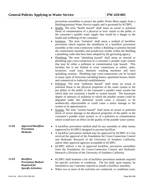otherwise specifically stated.

| 10.08 | <b>Right to Further</b> | KCBPU reserves the right to further extend the Water Mains from and beyond |
|-------|-------------------------|----------------------------------------------------------------------------|
|       | Extend:                 | each Water Main extension made under these rules.                          |

*10.09 Execution of Agreements:* Only the General Manager shall have the authority to approve and execute Water Main Extension Petitions and Agreements on behalf of KCBPU. The General Manager has the right to negotiate with the applicant the terms and conditions for executed petitions and agreements; provided, that such developments contain at least 250 homes to be built in a single subdivision over a three (3) year period.

#### *11.00 CROSS CONNECTIONS*

| 11.01 | <b>Cross-Connections</b><br><b>Prohibited:</b>    | The following cross-connections are prohibited:<br>No Water Service Connection shall be installed or maintained by the<br>$\bullet$<br>KCBPU unless the Water Service is protected as required by the laws<br>and regulations of the Kansas Department of Health and Environment<br>(KDHE), the Kansas Statutes Pertaining to Public Water Supply,<br>K.S.A. 64-163a, 65-171y, Kansas City, Kansas Ordinance No. 65696<br>for the Control of Backflow and Cross-Connections, and KCBPU's<br>Cross-Connection Control Policy.<br>A cross-connection shall be defined as any physical arrangement<br>whereby a public or semi-public potable water supply system is<br>connected directly or indirectly to any other water supply system,<br>sewer drain, conduit, pool, storage reservoir, plumbing fixture or other<br>device that may contain contaminated water, sewage or other<br>substance capable of spreading contamination into the potable water<br>supply as a result of backflow. |
|-------|---------------------------------------------------|----------------------------------------------------------------------------------------------------------------------------------------------------------------------------------------------------------------------------------------------------------------------------------------------------------------------------------------------------------------------------------------------------------------------------------------------------------------------------------------------------------------------------------------------------------------------------------------------------------------------------------------------------------------------------------------------------------------------------------------------------------------------------------------------------------------------------------------------------------------------------------------------------------------------------------------------------------------------------------------------|
| 11.02 | <b>Backflow</b><br><b>Prevention</b><br>Required: | Rules regarding backflow prevention methods are as follows:<br>An approved backflow prevention method shall be utilized or installed<br>$\bullet$<br>on every Water Service to a Customer's water system which KCBPU<br>determines the public potable water supply may be subject to<br>contamination, pollution or other deterioration in sanitary quality by<br>conditions within the Customer's water system.<br>The backflow prevention method to be utilized or installed shall be<br>$\bullet$<br>determined by KCBPU. The method required by KCBPU shall be<br>sufficient to protect against the potential degree of hazard, as<br>determined by KCBPU, to the public potable water supply from the<br>Customer's water system.                                                                                                                                                                                                                                                       |
| 11.03 | <b>Hazard Potential:</b>                          | The hazard to the public's potable water supply from a Customer's<br>water supply system shall be determined by using the following<br>factors:<br>The term "containment" shall mean a method of<br>Containment:<br>$\bullet$<br>backflow prevention which requires the installation of backflow                                                                                                                                                                                                                                                                                                                                                                                                                                                                                                                                                                                                                                                                                             |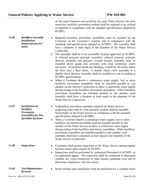prevention assemblies to protect the public Water Main supply from a Building/premise Water Service supply and is governed by KCBPU.

- Health: The term "health hazard" shall mean an actual or potential threat of contamination of a physical or toxic nature to the public or the consumer's potable water supply that would be a danger to the health and wellbeing of the consumer.
- Isolation: The term "isolation" shall mean a method of backflow prevention which requires the installation of a backflow prevention assembly at the cross-connection within a Building or premise beyond the containment assembly and jurisdiction resides within the Building a plumbing codes that have been adopted by the governing agency.
- Plumbing: The term "plumbing hazard" shall mean an internal or plumbing type cross-connection in a consumer's potable water system that may be either a pollutant or contamination type hazard. This includes but is not limited to cross connections to toilets, sinks, lavatories, wash trays, domestic washing machines and lawn sprinkling systems. Plumbing type cross-connections can be located in many types of Structures including homes, apartment houses, hotels and commercial or industrial establishments.
- Pollution: The term "pollution hazard" shall mean an actual or potential threat to the physical properties of the water system or the pot ability of the public or the consumer's potable water system but which does not constitute a health or system hazard. The maximum degree of intensity of pollution to which the potable system could be degraded under this definition would cause a nuisance or be aesthetically objectionable or could cause a minor damage to the system or its appurtenances.
- System: The term "system hazard" shall mean an actual or potential threat of severe damage to the physical properties of the public or the consumer's potable water system, or of a pollution or contamination which would have an effect on the quality of the potable water system.
- A backflow prevention method shall be any assembly or other means (approved by KCBPU) designed to prevent backflow.
- A backflow prevention method may be approved by KCBPU if it has received the approval of the Foundation for Cross-Connection Control and Hydraulic Research of the University of Southern California, and/or other approval agencies acceptable to KCBPU.
- KCBPU utilizes a list of approved backflow prevention assemblies from the Foundation for Cross-Connection Control and Hydraulic Research a Division of the University of Southern California.
- KCBPU shall maintain a list of backflow prevention methods required for specific activities or conditions. The list shall, upon request, be furnished to any Customer required to install a backflow assembly.
	- When two or more of the activities are conducted, or conditions exist,

*11.04 Approved Backflow Prevention Methods:*

*11.05 Backflow Prevention Method Required for Specific Activities:*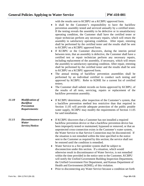on the same Premises and served by the same Water Service, the most restrictive backflow prevention method shall be required to be utilized or installed in compliance with the standard specifications adopted by KCBPU.

Form No.: 094-1178-D (06-19) Page **17** of **21** *11.06 Backflow Assembly Installation Requirements/Loc ation:* Required backflow prevention assemblies shall be installed by the Customer, at the Customer's expense and in compliance with the standards and specifications adopted by KCBPU. The assembly shall have a diameter at least equal to the diameter of the Water Service Connection. • The assembly shall be in an accessible location approved by KCBPU. A reduced pressure principle assembly, reduced pressure principle detector assembly and pressure vacuum breaker assembly must be installed above grade and provided with frost protection where necessary. If installed inside the Building, it shall be 30 inches above the floor near a floor drain. A double check valve assembly or a double check detector assembly shall be installed in a pit according to KCBPU specifications. • When a Customer desires a continuous water supply, two or more backflow prevention assemblies shall be installed parallel to one another on the Service Connection to allow a continuous water supply during testing of the backflow prevention assemblies. When backflow prevention assemblies are installed parallel to one another, each assembly shall have a diameter at least equal to the diameter of the Water Service Connection. *11.07 Installation of Backflow Prevention Assemblies for Fire Sprinkler Systems:* A Backflow prevention assembly required for Water Service supplying water only to a fire sprinkler system; shall be installed horizontally on the Water Service in compliance with the standard specifications adopted by KCBPU. When a Customer desires a continuous water supply, two or more backflow prevention assemblies shall be installed parallel to one another on the Water Service to allow a continuous water supply during testing of the backflow prevention assemblies. When backflow prevention assemblies are installed parallel to one another, each assembly shall have a diameter at least equal to the diameter of the Water Service Connection. **11.08** Inspections: • Customers shall permit inspection of the Water Service during regular business hours upon request by KCBPU. • Inspections shall be performed by authorized Personnel of KCBPU, or its authorized agents. The inspection shall be conducted to determine whether any cross-connection or other hazard potentials exist and to determine compliance with this article. *11.09 Test-Maintenance Records:* Initial testing upon installation shall be performed by a certified tester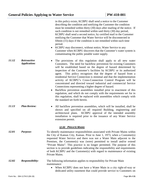with the results sent to KCBPU on a KCBPU approved form.

- It shall be the Customer's responsibility to have the backflow prevention assembly tested and serviced annually by a certified tester. If the testing reveals the assembly to be defective or in unsatisfactory operating condition, the Customer shall have the certified tester or repair technician perform any necessary repairs, which will return the assembly to satisfactory operating condition. After repair, retesting shall be performed by the certified tester and the results shall be sent to KCBPU on a KCBPU approved form.
- If KCBPU or the Customer discovers, during the interim period between tests, that an assembly is defective, the Customer shall have a certified test or repair technician perform any necessary repairs, including replacement of the assembly, if necessary, which will return the assembly to satisfactory operating condition. After repair, retesting shall be performed by the certified tester and the results shall be sent to KCBPU on a KCBPU approved form.
- The annual testing of backflow prevention assemblies shall be performed by an individual certified to conduct such testing and approved by KCBPU. Refer to KDHE for a current list of certified testers.
- The Customer shall submit records on forms approved by KCBPU, of the results of all tests, servicing, repairs or replacement of the backflow prevention assembly.
- If KCBPU determines, after inspection of the Customer's system, that a backflow prevention method less restrictive than that required in Section 11.05 will provide adequate protection of the public potable water supply, KCBPU may modify the requirements of Section 11.05 for said installation.
- If KCBPU discovers that a Customer has not installed a required backflow prevention device or that a backflow prevention device has been improperly tested or maintained, bypassed or removed, or that an unprotected cross-connection exists in the Customer's water system, the Water Service to that Service Connection may be disconnected. If the situation is not remedied within the time specified in the notice sent to the Customer as required by this section; the service shall not be restored until the condition is remedied.
	- Water Service to a fire sprinkler system shall be subject to disconnection under this section. If a situation, which would otherwise result in discontinuance of Water Service, is not remedied within the time provided in the notice sent to the Customer, KCBPU will notify the Unified Government Building Inspection Department, the Unified Government Fire Department, and Kansas Department of Health and Environment (KDHE), of this violation.
	- Prior to disconnecting any Water Service because a condition set forth
- *11.10 Modification of Backflow Prevention Requirements:*
- *11.11 Discontinuance of Water Service/Notice:*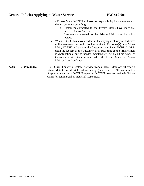|       |                                    | in this policy exists, KCBPU shall send a notice to the Customer<br>describing the condition and notifying the Customer the condition<br>must be remedied within thirty (30) days after mailing of the notice. If<br>such condition is not remedied within said thirty (30) day period,<br>KCBPU shall send a second notice, by certified mail to the Customer<br>notifying the Customer that Water Service will be disconnected in<br>fifteen (15) days if the condition is not remedied within such time<br>period.<br>KCBPU may disconnect, without notice, Water Service to any<br>Customer when KCBPU discovers that the Customer's water system is<br>contaminating the public potable water supply.                                                                                                                                                                                     |
|-------|------------------------------------|------------------------------------------------------------------------------------------------------------------------------------------------------------------------------------------------------------------------------------------------------------------------------------------------------------------------------------------------------------------------------------------------------------------------------------------------------------------------------------------------------------------------------------------------------------------------------------------------------------------------------------------------------------------------------------------------------------------------------------------------------------------------------------------------------------------------------------------------------------------------------------------------|
| 11.12 | Retroactive<br><b>Application:</b> | The provisions of this regulation shall apply to all new water<br>Customers. The need for backflow prevention for existing Customers<br>will be established based on the degree of hazard determined by<br>inspection of the Customer's facilities by KCBPU or its authorized<br>This policy recognizes that the degree of hazard from a<br>agent.<br>residential Service Connection is minimal and that the implementation<br>activity of KCBPU's Cross-Connection Control Program will be<br>concentrated and directed toward industrial and commercial Service<br>Connections representing a higher degree of hazard.<br>Backflow prevention assemblies installed prior to enactment of this<br>$\bullet$<br>regulation, and which do not comply with the requirements set for in<br>this regulation, shall be replaced with assemblies which comply with<br>the standard set forth herein. |
| 11.13 | <b>Plan Review:</b>                | All backflow prevention assemblies, which will be installed, shall be<br>$\bullet$<br>shown and specified on all required Building, engineering and<br>architectural plans. KCBPU approval of the intended assembly<br>installation is required prior to the issuance of any Water Service<br>extension permit.<br><b>12.00 PRIVATE MAINS</b>                                                                                                                                                                                                                                                                                                                                                                                                                                                                                                                                                  |
| 12.01 | <b>Purpose:</b>                    | To identify maintenance responsibilities associated with Private Mains within<br>the City of Kansas City, Kansas. Prior to June 1, 1973, when a Customer(s)<br>requested Water Service and there was not a Water Main adjacent to the<br>Premises, the Customer(s) was (were) permitted to install and/or extend<br>"Private Mains". This practice is no longer permitted. The purpose of this<br>section is to provide guidelines indicating the responsibility and requirements<br>of both KCBPU and the Customer(s) with regard to maintenance of existing<br>Private Mains.                                                                                                                                                                                                                                                                                                                |
| 12.02 | <b>Responsibility:</b>             | The following information applies to responsibility for Private Main<br>maintenance:<br>When KCBPU does not have a Water Main in a city right-of-way or<br>$\bullet$<br>dedicated utility easement that could provide service to Customers on                                                                                                                                                                                                                                                                                                                                                                                                                                                                                                                                                                                                                                                  |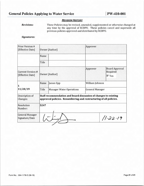a Private Main, KCBPU will assume responsibility for maintenance of the Private Main providing:

- o Customers connected to the Private Mains have individual Service Control Valves.
- o Customers connected to the Private Main have individual meters.
- When KCBPU has a Water Main in the city right-of-way or dedicated utility easement that could provide service to Customer(s) on a Private Main, KCBPU will transfer the Customer's service to KCBPU's Main upon the request of the Customer, or at such time as the Private Main is dysfunctional due to needed maintenance. At such time when no Customer service lines are attached to the Private Main, the Private Main will be abandoned.
- *12.03 Maintenance:* KCBPU will transfer a Customer service from a Private Main or will repair a Private Main for residential Customers only, (based on KCBPU determination of appropriateness), at KCBPU expense. KCBPU does not maintain Private Mains for commercial or industrial Customers.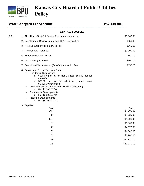#### **REVISION HISTORY**

*Revisions:*  These Policies may be revised, amended, supplemented or otherwise changed at any time by the approval of KCBPU. These policies cancel and supersede all previous policies approved and distributed by KCBPU.

#### *Signatures:*

| <b>Prior Version #</b><br>[Effective Date]   | Owner [Author]                                                                                                                        |                                 | Approver               |                                                         |  |  |
|----------------------------------------------|---------------------------------------------------------------------------------------------------------------------------------------|---------------------------------|------------------------|---------------------------------------------------------|--|--|
|                                              | Name                                                                                                                                  |                                 |                        |                                                         |  |  |
|                                              | Title                                                                                                                                 |                                 |                        |                                                         |  |  |
| <b>Current Version #</b><br>[Effective Date] |                                                                                                                                       | <b>Owner</b> [Author]           | Approver               | <b>Board Approval</b><br>Required<br>$\overline{V}$ Yes |  |  |
| 1                                            | <b>Name</b>                                                                                                                           | James Epp                       | William Johnson        |                                                         |  |  |
| 11/20/19                                     | Title                                                                                                                                 | <b>Manager Water Operations</b> | <b>General Manager</b> |                                                         |  |  |
| Description of<br>Changes:                   | Staff recommendation and board discussion of changes to existing<br>approved policies. Renumbering and restructuring of all policies. |                                 |                        |                                                         |  |  |
| Resolution<br>Number:                        | 5247                                                                                                                                  |                                 |                        |                                                         |  |  |
| <b>General Manager</b><br>Signature/Date     |                                                                                                                                       |                                 |                        | 11.22.19                                                |  |  |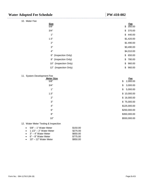

# **Kansas City Board of Public Utilities Policy**

|      | <b>Water Adopted Fee Schedule</b>                                                                                                                                                                                                                                                                                                                                                                                                                                                                          | <b>PW-410-002</b>            |
|------|------------------------------------------------------------------------------------------------------------------------------------------------------------------------------------------------------------------------------------------------------------------------------------------------------------------------------------------------------------------------------------------------------------------------------------------------------------------------------------------------------------|------------------------------|
|      | 1.00 FEE SCHEDULE                                                                                                                                                                                                                                                                                                                                                                                                                                                                                          |                              |
| 1.01 | 1. After Hours Shut-Off Service Fee for non-emergency                                                                                                                                                                                                                                                                                                                                                                                                                                                      | \$1,360.00                   |
|      | 2. Development Review Committee (DRC) Service Fee                                                                                                                                                                                                                                                                                                                                                                                                                                                          | \$550.00                     |
|      | 3. Fire Hydrant Flow Test Service Fee                                                                                                                                                                                                                                                                                                                                                                                                                                                                      | \$160.00                     |
|      | 4. Fire Hydrant Theft Fee                                                                                                                                                                                                                                                                                                                                                                                                                                                                                  | \$1,000.00                   |
|      | 5. Water Service Permit Fee                                                                                                                                                                                                                                                                                                                                                                                                                                                                                | \$50.00                      |
|      | 6. Leak Investigation Fee                                                                                                                                                                                                                                                                                                                                                                                                                                                                                  | \$300.00                     |
|      | 7. Demolition/Disconnection (Saw-Off) Inspection Fee                                                                                                                                                                                                                                                                                                                                                                                                                                                       | \$150.00                     |
|      | 8. Engineering Design Services Fees<br><b>Residential Subdivisions</b><br>\$100.00 per lot for first 15 lots, \$50.00 per lot<br>$\circ$<br>thereafter<br>\$50.00 per lot for additional phases, max<br>O<br>\$5,000.00 per phase<br>Other Residential (Apartments, Trailer Courts, etc.)<br>$\bullet$<br>Flat \$2,000.00 fee<br>$\circ$<br><b>Commercial Developments</b><br>$\bullet$<br>Flat \$2,500.00 fee<br>O<br><b>Industrial Developments</b><br>٠<br>Flat \$5,000.00 fee<br>$\circ$<br>9. Tap Fee |                              |
|      | <u>Size</u>                                                                                                                                                                                                                                                                                                                                                                                                                                                                                                | Fee                          |
|      | 3/4"<br>1"                                                                                                                                                                                                                                                                                                                                                                                                                                                                                                 | 300.00<br>\$<br>320.00<br>\$ |
|      | 1.5"                                                                                                                                                                                                                                                                                                                                                                                                                                                                                                       | \$1,200.00                   |
|      | 2"                                                                                                                                                                                                                                                                                                                                                                                                                                                                                                         | \$1,360.00                   |
|      | 4"                                                                                                                                                                                                                                                                                                                                                                                                                                                                                                         | \$4,370.00                   |
|      | $6"$                                                                                                                                                                                                                                                                                                                                                                                                                                                                                                       | \$4,640.00                   |
|      | $8"$                                                                                                                                                                                                                                                                                                                                                                                                                                                                                                       | \$6,960.00                   |
|      | 10"                                                                                                                                                                                                                                                                                                                                                                                                                                                                                                        | \$10,880.00                  |
|      | 12"                                                                                                                                                                                                                                                                                                                                                                                                                                                                                                        | \$12,240.00                  |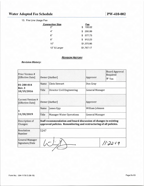|  | <u> VV "410"VV4</u> |  |
|--|---------------------|--|
|  |                     |  |
|  |                     |  |

| <b>Size</b> |                       | Fee          |
|-------------|-----------------------|--------------|
| 5/8"        |                       | \$<br>350.00 |
| 3/4"        |                       | \$<br>370.00 |
| 1"          |                       | \$<br>440.00 |
| 1.5"        |                       | \$1,420.00   |
| 2"          |                       | \$1.490.00   |
| 3"          |                       | \$3,490.00   |
| 4"          |                       | \$4,010.00   |
|             | 6" (Inspection Only)  | \$<br>650.00 |
| 8"          | (Inspection Only)     | \$<br>780.00 |
| 10"         | (Inspection Only)     | \$<br>960.00 |
|             | 12" (Inspection Only) | \$<br>960.00 |

#### 11. System Development Fee

| <b>Meter Size</b> | Fee            |
|-------------------|----------------|
| 5/8"              | \$<br>2,000.00 |
| 3/4"              | \$<br>3,000.00 |
| 1"                | \$<br>5,000.00 |
| 1.5"              | \$10,000.00    |
| 2"                | \$16,000.00    |
| 3"                | \$75,000.00    |
| 4"                | \$125,000.00   |
| 6"                | \$250,000.00   |
| 8"                | \$350,000.00   |
| 10"               | \$550,000.00   |
|                   |                |

12. Water Meter Testing & Inspection

| $\bullet$ 5/8" – 1" Water Meter   | \$150.00 |
|-----------------------------------|----------|
| $\bullet$ 1 1/2" – 2" Water Meter | \$275.00 |
| $\bullet$ 3" – 4" Water Meter     | \$650.00 |
| $\bullet$ 6" – 8" Water Meter     | \$775.00 |
| $\bullet$ 10" – 12" Water Meter   | \$950.00 |
|                                   |          |